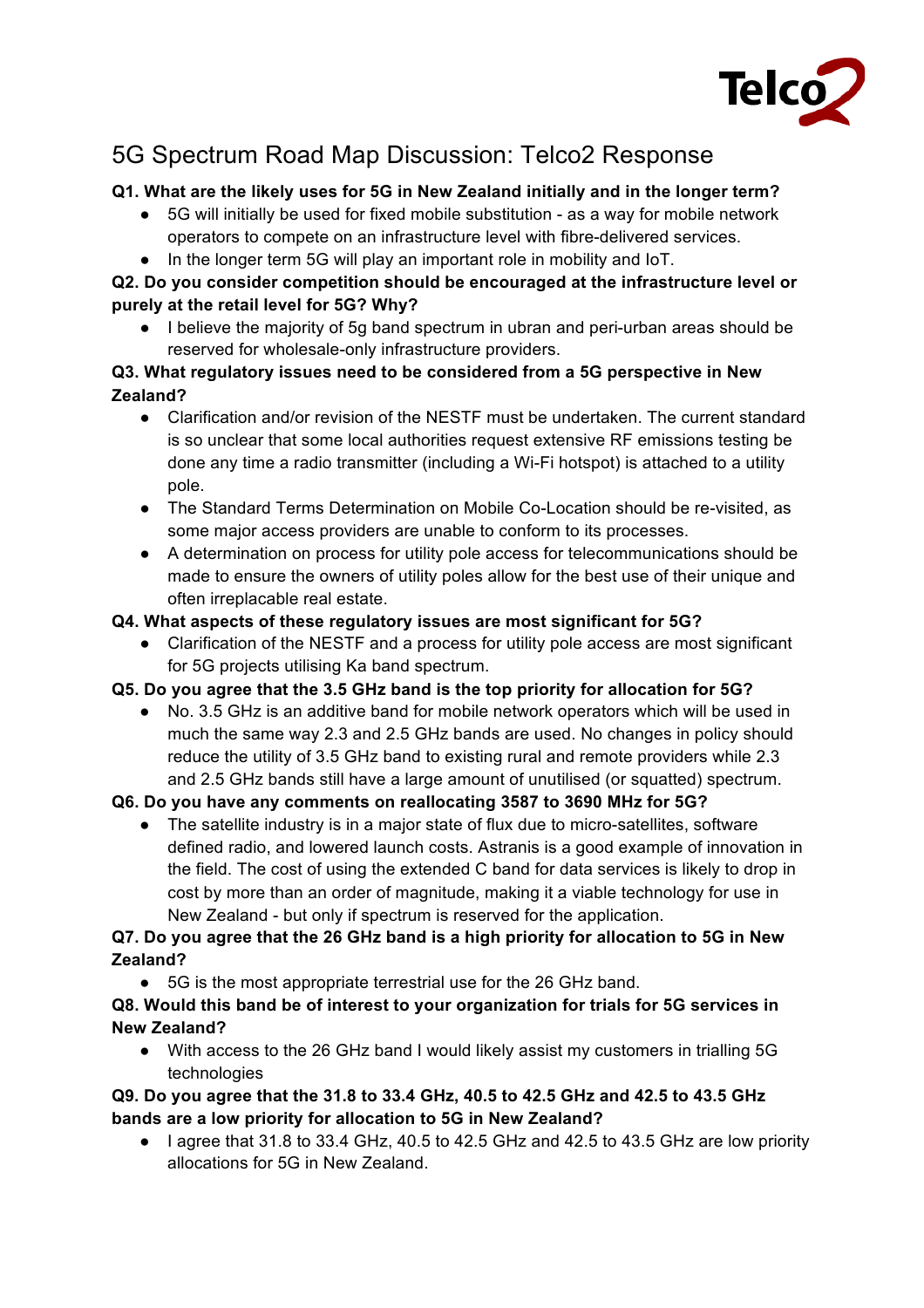

# 5G Spectrum Road Map Discussion: Telco2 Response

## **Q1. What are the likely uses for 5G in New Zealand initially and in the longer term?**

- 5G will initially be used for fixed mobile substitution as a way for mobile network operators to compete on an infrastructure level with fibre-delivered services.
- In the longer term 5G will play an important role in mobility and IoT.

## **Q2. Do you consider competition should be encouraged at the infrastructure level or purely at the retail level for 5G? Why?**

● I believe the majority of 5g band spectrum in ubran and peri-urban areas should be reserved for wholesale-only infrastructure providers.

## **Q3. What regulatory issues need to be considered from a 5G perspective in New Zealand?**

- Clarification and/or revision of the NESTF must be undertaken. The current standard is so unclear that some local authorities request extensive RF emissions testing be done any time a radio transmitter (including a Wi-Fi hotspot) is attached to a utility pole.
- The Standard Terms Determination on Mobile Co-Location should be re-visited, as some major access providers are unable to conform to its processes.
- A determination on process for utility pole access for telecommunications should be made to ensure the owners of utility poles allow for the best use of their unique and often irreplacable real estate.

## **Q4. What aspects of these regulatory issues are most significant for 5G?**

• Clarification of the NESTF and a process for utility pole access are most significant for 5G projects utilising Ka band spectrum.

#### **Q5. Do you agree that the 3.5 GHz band is the top priority for allocation for 5G?**

No. 3.5 GHz is an additive band for mobile network operators which will be used in much the same way 2.3 and 2.5 GHz bands are used. No changes in policy should reduce the utility of 3.5 GHz band to existing rural and remote providers while 2.3 and 2.5 GHz bands still have a large amount of unutilised (or squatted) spectrum.

# **Q6. Do you have any comments on reallocating 3587 to 3690 MHz for 5G?**

● The satellite industry is in a major state of flux due to micro-satellites, software defined radio, and lowered launch costs. Astranis is a good example of innovation in the field. The cost of using the extended C band for data services is likely to drop in cost by more than an order of magnitude, making it a viable technology for use in New Zealand - but only if spectrum is reserved for the application.

## **Q7. Do you agree that the 26 GHz band is a high priority for allocation to 5G in New Zealand?**

● 5G is the most appropriate terrestrial use for the 26 GHz band.

## **Q8. Would this band be of interest to your organization for trials for 5G services in New Zealand?**

● With access to the 26 GHz band I would likely assist my customers in trialling 5G technologies

## **Q9. Do you agree that the 31.8 to 33.4 GHz, 40.5 to 42.5 GHz and 42.5 to 43.5 GHz bands are a low priority for allocation to 5G in New Zealand?**

 $\bullet$  lagree that 31.8 to 33.4 GHz, 40.5 to 42.5 GHz and 42.5 to 43.5 GHz are low priority allocations for 5G in New Zealand.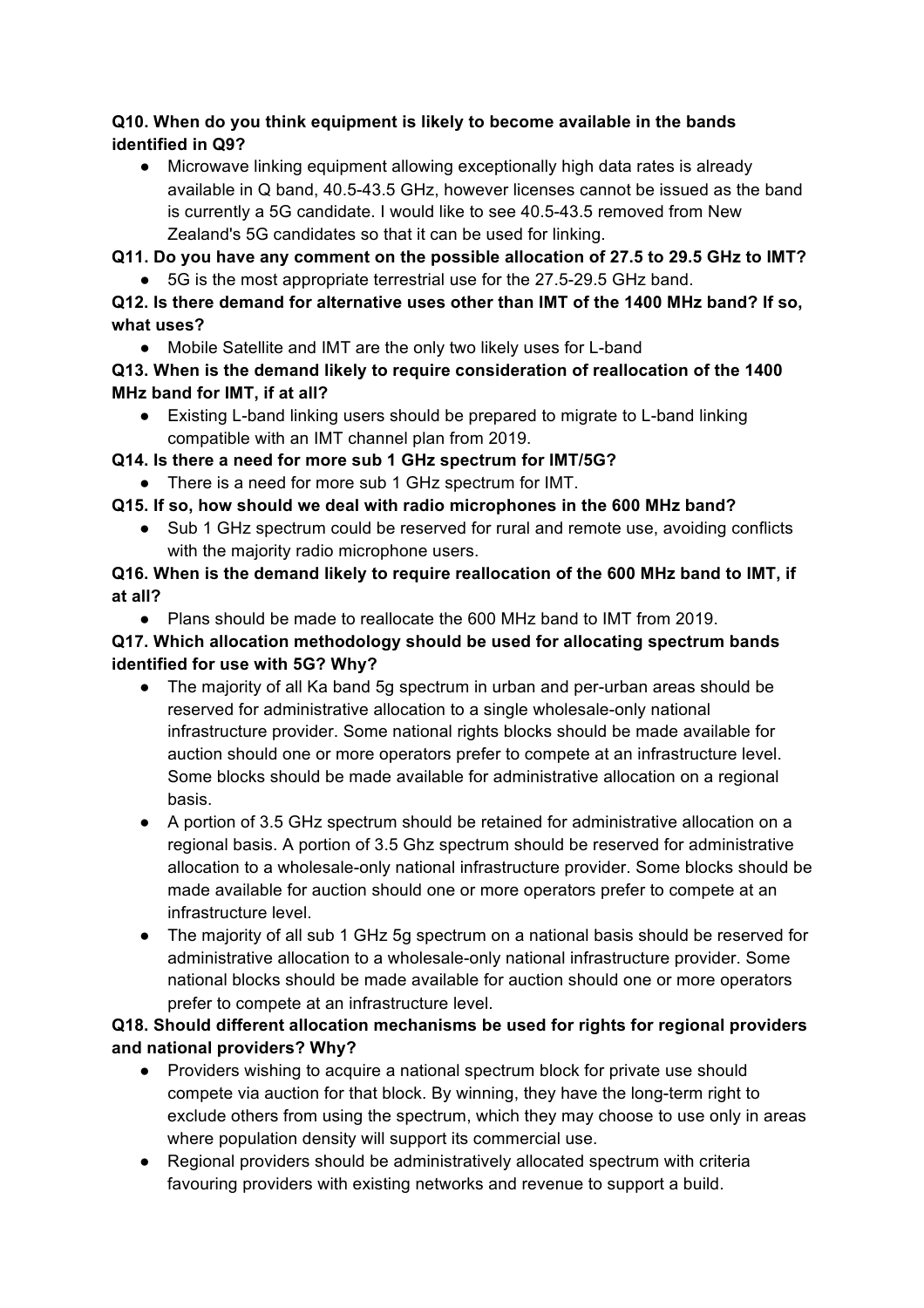## **Q10. When do you think equipment is likely to become available in the bands identified in Q9?**

● Microwave linking equipment allowing exceptionally high data rates is already available in Q band, 40.5-43.5 GHz, however licenses cannot be issued as the band is currently a 5G candidate. I would like to see 40.5-43.5 removed from New Zealand's 5G candidates so that it can be used for linking.

**Q11. Do you have any comment on the possible allocation of 27.5 to 29.5 GHz to IMT?**

5G is the most appropriate terrestrial use for the 27.5-29.5 GHz band.

# **Q12. Is there demand for alternative uses other than IMT of the 1400 MHz band? If so, what uses?**

● Mobile Satellite and IMT are the only two likely uses for L-band

# **Q13. When is the demand likely to require consideration of reallocation of the 1400 MHz band for IMT, if at all?**

● Existing L-band linking users should be prepared to migrate to L-band linking compatible with an IMT channel plan from 2019.

**Q14. Is there a need for more sub 1 GHz spectrum for IMT/5G?**

- There is a need for more sub 1 GHz spectrum for IMT.
- **Q15. If so, how should we deal with radio microphones in the 600 MHz band?**
	- Sub 1 GHz spectrum could be reserved for rural and remote use, avoiding conflicts with the majority radio microphone users.

# **Q16. When is the demand likely to require reallocation of the 600 MHz band to IMT, if at all?**

● Plans should be made to reallocate the 600 MHz band to IMT from 2019.

# **Q17. Which allocation methodology should be used for allocating spectrum bands identified for use with 5G? Why?**

- The majority of all Ka band 5g spectrum in urban and per-urban areas should be reserved for administrative allocation to a single wholesale-only national infrastructure provider. Some national rights blocks should be made available for auction should one or more operators prefer to compete at an infrastructure level. Some blocks should be made available for administrative allocation on a regional basis.
- A portion of 3.5 GHz spectrum should be retained for administrative allocation on a regional basis. A portion of 3.5 Ghz spectrum should be reserved for administrative allocation to a wholesale-only national infrastructure provider. Some blocks should be made available for auction should one or more operators prefer to compete at an infrastructure level.
- The majority of all sub 1 GHz 5g spectrum on a national basis should be reserved for administrative allocation to a wholesale-only national infrastructure provider. Some national blocks should be made available for auction should one or more operators prefer to compete at an infrastructure level.

# **Q18. Should different allocation mechanisms be used for rights for regional providers and national providers? Why?**

- Providers wishing to acquire a national spectrum block for private use should compete via auction for that block. By winning, they have the long-term right to exclude others from using the spectrum, which they may choose to use only in areas where population density will support its commercial use.
- Regional providers should be administratively allocated spectrum with criteria favouring providers with existing networks and revenue to support a build.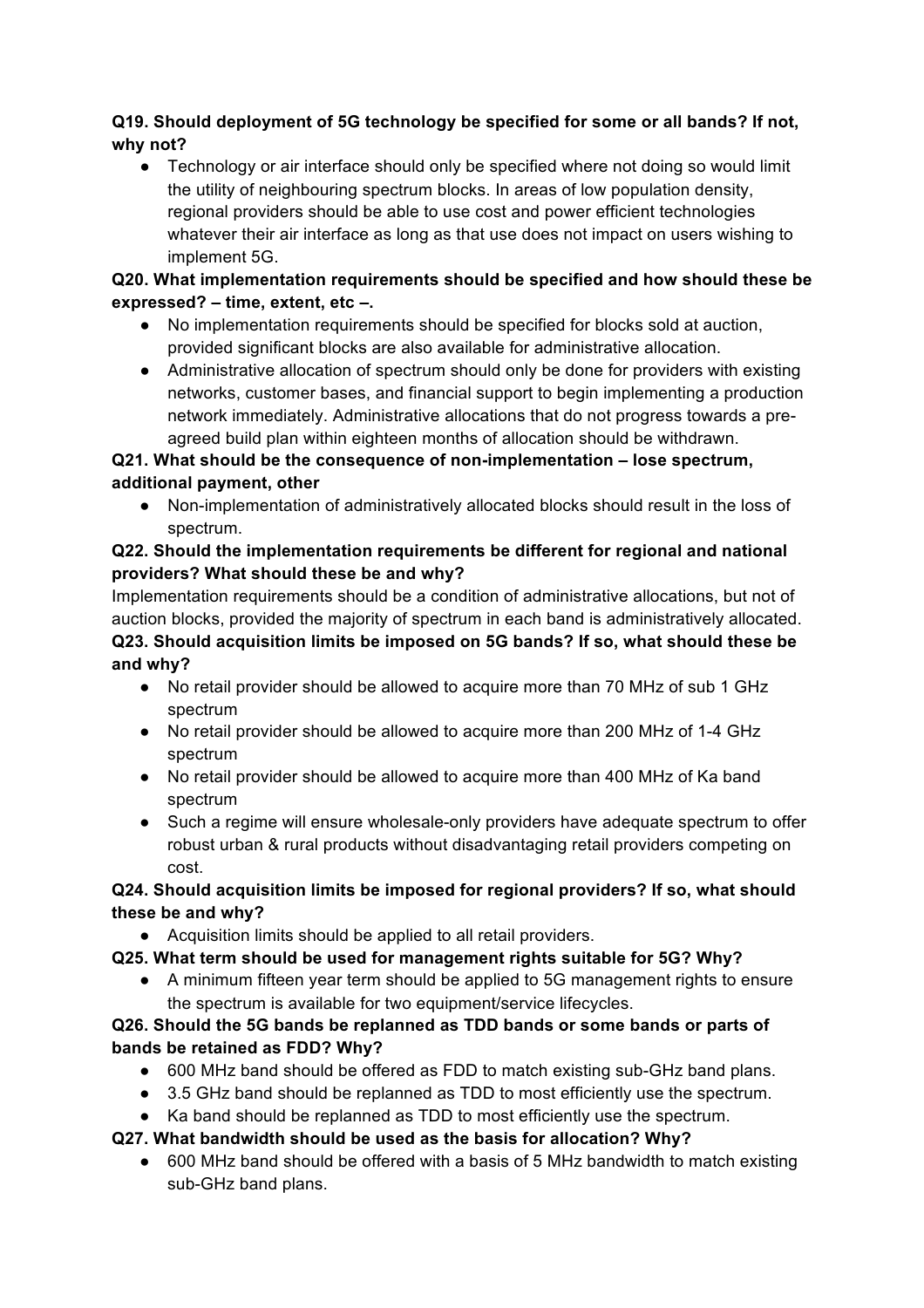## **Q19. Should deployment of 5G technology be specified for some or all bands? If not, why not?**

• Technology or air interface should only be specified where not doing so would limit the utility of neighbouring spectrum blocks. In areas of low population density, regional providers should be able to use cost and power efficient technologies whatever their air interface as long as that use does not impact on users wishing to implement 5G.

## **Q20. What implementation requirements should be specified and how should these be expressed? – time, extent, etc –.**

- No implementation requirements should be specified for blocks sold at auction, provided significant blocks are also available for administrative allocation.
- Administrative allocation of spectrum should only be done for providers with existing networks, customer bases, and financial support to begin implementing a production network immediately. Administrative allocations that do not progress towards a preagreed build plan within eighteen months of allocation should be withdrawn.

# **Q21. What should be the consequence of non-implementation – lose spectrum, additional payment, other**

Non-implementation of administratively allocated blocks should result in the loss of spectrum.

## **Q22. Should the implementation requirements be different for regional and national providers? What should these be and why?**

Implementation requirements should be a condition of administrative allocations, but not of auction blocks, provided the majority of spectrum in each band is administratively allocated. **Q23. Should acquisition limits be imposed on 5G bands? If so, what should these be** 

## **and why?**

- No retail provider should be allowed to acquire more than 70 MHz of sub 1 GHz spectrum
- No retail provider should be allowed to acquire more than 200 MHz of 1-4 GHz spectrum
- No retail provider should be allowed to acquire more than 400 MHz of Ka band spectrum
- Such a regime will ensure wholesale-only providers have adequate spectrum to offer robust urban & rural products without disadvantaging retail providers competing on cost.

## **Q24. Should acquisition limits be imposed for regional providers? If so, what should these be and why?**

● Acquisition limits should be applied to all retail providers.

# **Q25. What term should be used for management rights suitable for 5G? Why?**

● A minimum fifteen year term should be applied to 5G management rights to ensure the spectrum is available for two equipment/service lifecycles.

# **Q26. Should the 5G bands be replanned as TDD bands or some bands or parts of bands be retained as FDD? Why?**

- 600 MHz band should be offered as FDD to match existing sub-GHz band plans.
- 3.5 GHz band should be replanned as TDD to most efficiently use the spectrum.
- Ka band should be replanned as TDD to most efficiently use the spectrum.

# **Q27. What bandwidth should be used as the basis for allocation? Why?**

● 600 MHz band should be offered with a basis of 5 MHz bandwidth to match existing sub-GHz band plans.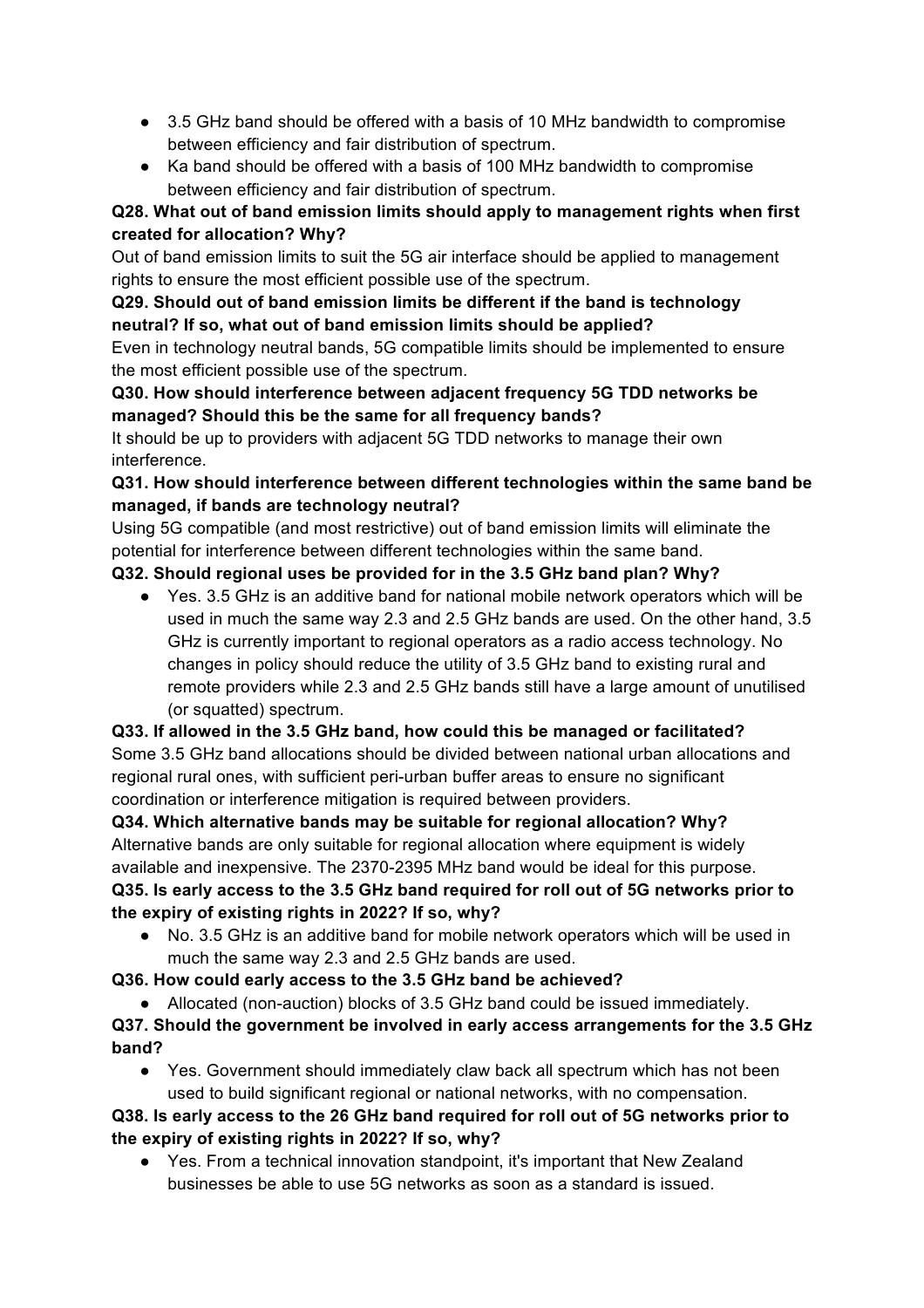- 3.5 GHz band should be offered with a basis of 10 MHz bandwidth to compromise between efficiency and fair distribution of spectrum.
- Ka band should be offered with a basis of 100 MHz bandwidth to compromise between efficiency and fair distribution of spectrum.

## **Q28. What out of band emission limits should apply to management rights when first created for allocation? Why?**

Out of band emission limits to suit the 5G air interface should be applied to management rights to ensure the most efficient possible use of the spectrum.

## **Q29. Should out of band emission limits be different if the band is technology neutral? If so, what out of band emission limits should be applied?**

Even in technology neutral bands, 5G compatible limits should be implemented to ensure the most efficient possible use of the spectrum.

## **Q30. How should interference between adjacent frequency 5G TDD networks be managed? Should this be the same for all frequency bands?**

It should be up to providers with adjacent 5G TDD networks to manage their own interference.

## **Q31. How should interference between different technologies within the same band be managed, if bands are technology neutral?**

Using 5G compatible (and most restrictive) out of band emission limits will eliminate the potential for interference between different technologies within the same band.

# **Q32. Should regional uses be provided for in the 3.5 GHz band plan? Why?**

● Yes. 3.5 GHz is an additive band for national mobile network operators which will be used in much the same way 2.3 and 2.5 GHz bands are used. On the other hand, 3.5 GHz is currently important to regional operators as a radio access technology. No changes in policy should reduce the utility of 3.5 GHz band to existing rural and remote providers while 2.3 and 2.5 GHz bands still have a large amount of unutilised (or squatted) spectrum.

# **Q33. If allowed in the 3.5 GHz band, how could this be managed or facilitated?** Some 3.5 GHz band allocations should be divided between national urban allocations and regional rural ones, with sufficient peri-urban buffer areas to ensure no significant coordination or interference mitigation is required between providers.

**Q34. Which alternative bands may be suitable for regional allocation? Why?** Alternative bands are only suitable for regional allocation where equipment is widely available and inexpensive. The 2370-2395 MHz band would be ideal for this purpose. **Q35. Is early access to the 3.5 GHz band required for roll out of 5G networks prior to the expiry of existing rights in 2022? If so, why?**

● No. 3.5 GHz is an additive band for mobile network operators which will be used in much the same way 2.3 and 2.5 GHz bands are used.

**Q36. How could early access to the 3.5 GHz band be achieved?**

● Allocated (non-auction) blocks of 3.5 GHz band could be issued immediately.

**Q37. Should the government be involved in early access arrangements for the 3.5 GHz band?**

● Yes. Government should immediately claw back all spectrum which has not been used to build significant regional or national networks, with no compensation.

# **Q38. Is early access to the 26 GHz band required for roll out of 5G networks prior to the expiry of existing rights in 2022? If so, why?**

● Yes. From a technical innovation standpoint, it's important that New Zealand businesses be able to use 5G networks as soon as a standard is issued.